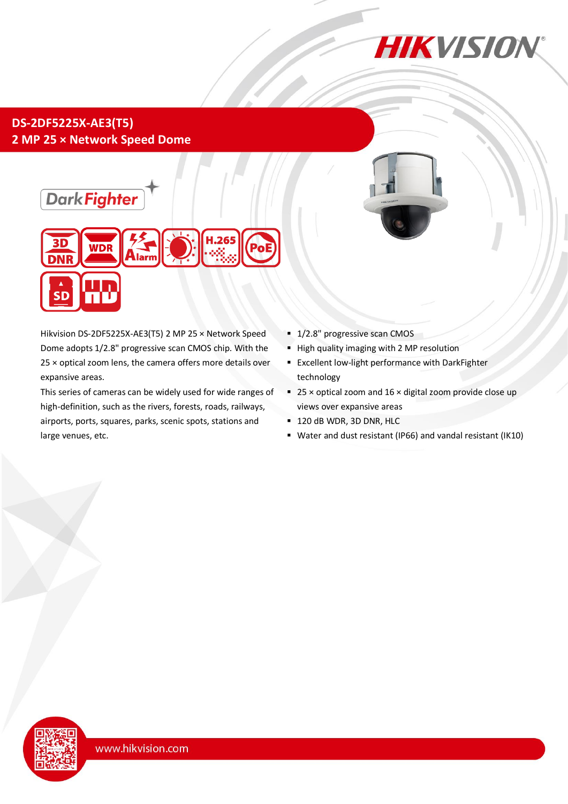

# **DS-2DF5225X-AE3(T5) 2 MP 25 × Network Speed Dome**





Hikvision DS-2DF5225X-AE3(T5) 2 MP 25 × Network Speed Dome adopts 1/2.8" progressive scan CMOS chip. With the 25 × optical zoom lens, the camera offers more details over expansive areas.

This series of cameras can be widely used for wide ranges of high-definition, such as the rivers, forests, roads, railways, airports, ports, squares, parks, scenic spots, stations and large venues, etc.

- <sup>1</sup>/2.8" progressive scan CMOS
- **High quality imaging with 2 MP resolution**
- **Excellent low-light performance with DarkFighter** technology
- 25  $\times$  optical zoom and 16  $\times$  digital zoom provide close up views over expansive areas
- 120 dB WDR, 3D DNR, HLC
- Water and dust resistant (IP66) and vandal resistant (IK10)

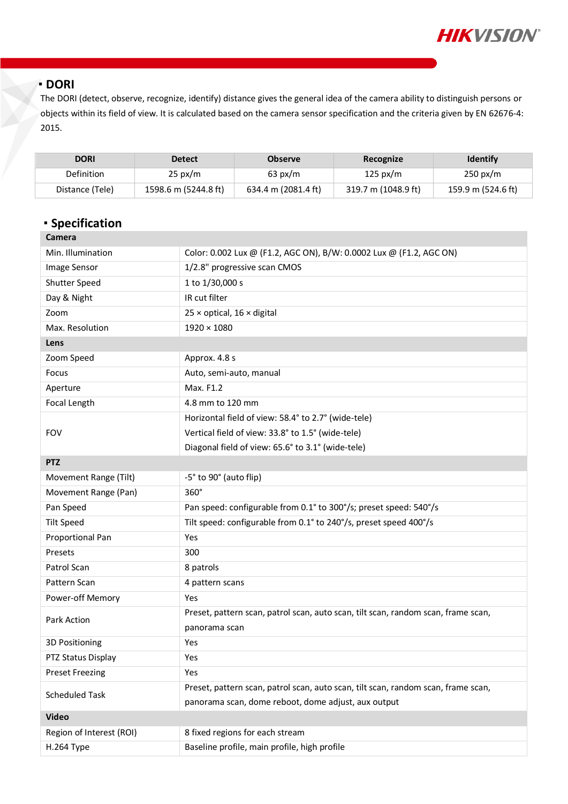

#### **DORI**

The DORI (detect, observe, recognize, identify) distance gives the general idea of the camera ability to distinguish persons or objects within its field of view. It is calculated based on the camera sensor specification and the criteria given by EN 62676-4: 2015.

| <b>DORI</b>     | <b>Detect</b>        | <b>Observe</b>      | Recognize           | <b>Identify</b>    |
|-----------------|----------------------|---------------------|---------------------|--------------------|
| Definition      | $25 \text{ px/m}$    | $63 \text{ px/m}$   | 125 px/m            | $250 \text{ px/m}$ |
| Distance (Tele) | 1598.6 m (5244.8 ft) | 634.4 m (2081.4 ft) | 319.7 m (1048.9 ft) | 159.9 m (524.6 ft) |

# **Specification**

| Camera                   |                                                                                   |  |  |
|--------------------------|-----------------------------------------------------------------------------------|--|--|
| Min. Illumination        | Color: 0.002 Lux @ (F1.2, AGC ON), B/W: 0.0002 Lux @ (F1.2, AGC ON)               |  |  |
| Image Sensor             | 1/2.8" progressive scan CMOS                                                      |  |  |
| Shutter Speed            | 1 to 1/30,000 s                                                                   |  |  |
| Day & Night              | IR cut filter                                                                     |  |  |
| Zoom                     | $25 \times$ optical, $16 \times$ digital                                          |  |  |
| Max. Resolution          | $1920 \times 1080$                                                                |  |  |
| Lens                     |                                                                                   |  |  |
| Zoom Speed               | Approx. 4.8 s                                                                     |  |  |
| Focus                    | Auto, semi-auto, manual                                                           |  |  |
| Aperture                 | Max. F1.2                                                                         |  |  |
| Focal Length             | 4.8 mm to 120 mm                                                                  |  |  |
|                          | Horizontal field of view: 58.4° to 2.7° (wide-tele)                               |  |  |
| <b>FOV</b>               | Vertical field of view: 33.8° to 1.5° (wide-tele)                                 |  |  |
|                          | Diagonal field of view: 65.6° to 3.1° (wide-tele)                                 |  |  |
| <b>PTZ</b>               |                                                                                   |  |  |
| Movement Range (Tilt)    | -5° to 90° (auto flip)                                                            |  |  |
| Movement Range (Pan)     | $360^\circ$                                                                       |  |  |
| Pan Speed                | Pan speed: configurable from 0.1° to 300°/s; preset speed: 540°/s                 |  |  |
| <b>Tilt Speed</b>        | Tilt speed: configurable from 0.1° to 240°/s, preset speed 400°/s                 |  |  |
| Proportional Pan         | Yes                                                                               |  |  |
| Presets                  | 300                                                                               |  |  |
| Patrol Scan              | 8 patrols                                                                         |  |  |
| Pattern Scan             | 4 pattern scans                                                                   |  |  |
| Power-off Memory         | Yes                                                                               |  |  |
| Park Action              | Preset, pattern scan, patrol scan, auto scan, tilt scan, random scan, frame scan, |  |  |
|                          | panorama scan                                                                     |  |  |
| 3D Positioning           | Yes                                                                               |  |  |
| PTZ Status Display       | Yes                                                                               |  |  |
| <b>Preset Freezing</b>   | Yes                                                                               |  |  |
| <b>Scheduled Task</b>    | Preset, pattern scan, patrol scan, auto scan, tilt scan, random scan, frame scan, |  |  |
|                          | panorama scan, dome reboot, dome adjust, aux output                               |  |  |
| <b>Video</b>             |                                                                                   |  |  |
| Region of Interest (ROI) | 8 fixed regions for each stream                                                   |  |  |
| H.264 Type               | Baseline profile, main profile, high profile                                      |  |  |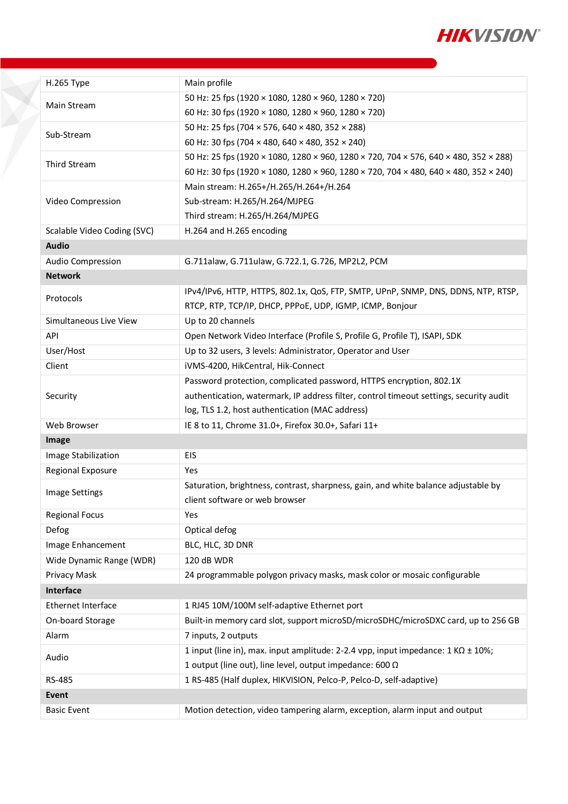

| H.265 Type                  | Main profile                                                                                |
|-----------------------------|---------------------------------------------------------------------------------------------|
|                             | 50 Hz: 25 fps (1920 × 1080, 1280 × 960, 1280 × 720)                                         |
| Main Stream                 | 60 Hz: 30 fps (1920 × 1080, 1280 × 960, 1280 × 720)                                         |
|                             | 50 Hz: 25 fps (704 × 576, 640 × 480, 352 × 288)                                             |
| Sub-Stream                  | 60 Hz: 30 fps (704 × 480, 640 × 480, 352 × 240)                                             |
|                             | 50 Hz: 25 fps (1920 × 1080, 1280 × 960, 1280 × 720, 704 × 576, 640 × 480, 352 × 288)        |
| Third Stream                | 60 Hz: 30 fps (1920 × 1080, 1280 × 960, 1280 × 720, 704 × 480, 640 × 480, 352 × 240)        |
|                             | Main stream: H.265+/H.265/H.264+/H.264                                                      |
| Video Compression           | Sub-stream: H.265/H.264/MJPEG                                                               |
|                             | Third stream: H.265/H.264/MJPEG                                                             |
| Scalable Video Coding (SVC) | H.264 and H.265 encoding                                                                    |
| <b>Audio</b>                |                                                                                             |
| Audio Compression           | G.711alaw, G.711ulaw, G.722.1, G.726, MP2L2, PCM                                            |
| <b>Network</b>              |                                                                                             |
|                             | IPv4/IPv6, HTTP, HTTPS, 802.1x, QoS, FTP, SMTP, UPnP, SNMP, DNS, DDNS, NTP, RTSP,           |
| Protocols                   | RTCP, RTP, TCP/IP, DHCP, PPPoE, UDP, IGMP, ICMP, Bonjour                                    |
| Simultaneous Live View      | Up to 20 channels                                                                           |
| API                         | Open Network Video Interface (Profile S, Profile G, Profile T), ISAPI, SDK                  |
| User/Host                   | Up to 32 users, 3 levels: Administrator, Operator and User                                  |
| Client                      | iVMS-4200, HikCentral, Hik-Connect                                                          |
|                             | Password protection, complicated password, HTTPS encryption, 802.1X                         |
| Security                    | authentication, watermark, IP address filter, control timeout settings, security audit      |
|                             | log, TLS 1.2, host authentication (MAC address)                                             |
| Web Browser                 | IE 8 to 11, Chrome 31.0+, Firefox 30.0+, Safari 11+                                         |
| Image                       |                                                                                             |
| Image Stabilization         | EIS                                                                                         |
| Regional Exposure           | Yes                                                                                         |
|                             | Saturation, brightness, contrast, sharpness, gain, and white balance adjustable by          |
| <b>Image Settings</b>       | client software or web browser                                                              |
| <b>Regional Focus</b>       | Yes                                                                                         |
| Defog                       | Optical defog                                                                               |
| Image Enhancement           | BLC, HLC, 3D DNR                                                                            |
| Wide Dynamic Range (WDR)    | 120 dB WDR                                                                                  |
| Privacy Mask                | 24 programmable polygon privacy masks, mask color or mosaic configurable                    |
| Interface                   |                                                                                             |
| Ethernet Interface          | 1 RJ45 10M/100M self-adaptive Ethernet port                                                 |
| On-board Storage            | Built-in memory card slot, support microSD/microSDHC/microSDXC card, up to 256 GB           |
| Alarm                       | 7 inputs, 2 outputs                                                                         |
|                             | 1 input (line in), max. input amplitude: 2-2.4 vpp, input impedance: $1 K\Omega \pm 10\%$ ; |
| Audio                       | 1 output (line out), line level, output impedance: 600 $\Omega$                             |
| RS-485                      | 1 RS-485 (Half duplex, HIKVISION, Pelco-P, Pelco-D, self-adaptive)                          |
| Event                       |                                                                                             |
| <b>Basic Event</b>          | Motion detection, video tampering alarm, exception, alarm input and output                  |
|                             |                                                                                             |

X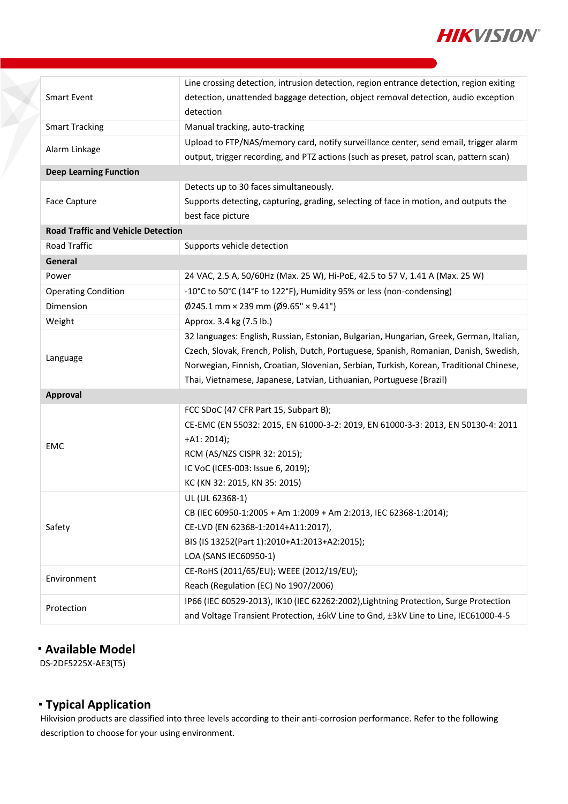

|                                           | Line crossing detection, intrusion detection, region entrance detection, region exiting |  |
|-------------------------------------------|-----------------------------------------------------------------------------------------|--|
| <b>Smart Event</b>                        | detection, unattended baggage detection, object removal detection, audio exception      |  |
|                                           | detection                                                                               |  |
| <b>Smart Tracking</b>                     | Manual tracking, auto-tracking                                                          |  |
| Alarm Linkage                             | Upload to FTP/NAS/memory card, notify surveillance center, send email, trigger alarm    |  |
|                                           | output, trigger recording, and PTZ actions (such as preset, patrol scan, pattern scan)  |  |
| <b>Deep Learning Function</b>             |                                                                                         |  |
|                                           | Detects up to 30 faces simultaneously.                                                  |  |
| Face Capture                              | Supports detecting, capturing, grading, selecting of face in motion, and outputs the    |  |
|                                           | best face picture                                                                       |  |
| <b>Road Traffic and Vehicle Detection</b> |                                                                                         |  |
| Road Traffic                              | Supports vehicle detection                                                              |  |
| General                                   |                                                                                         |  |
| Power                                     | 24 VAC, 2.5 A, 50/60Hz (Max. 25 W), Hi-PoE, 42.5 to 57 V, 1.41 A (Max. 25 W)            |  |
| <b>Operating Condition</b>                | -10°C to 50°C (14°F to 122°F), Humidity 95% or less (non-condensing)                    |  |
| Dimension                                 | $\emptyset$ 245.1 mm × 239 mm ( $\emptyset$ 9.65" × 9.41")                              |  |
| Weight                                    | Approx. 3.4 kg (7.5 lb.)                                                                |  |
|                                           | 32 languages: English, Russian, Estonian, Bulgarian, Hungarian, Greek, German, Italian, |  |
|                                           | Czech, Slovak, French, Polish, Dutch, Portuguese, Spanish, Romanian, Danish, Swedish,   |  |
| Language                                  | Norwegian, Finnish, Croatian, Slovenian, Serbian, Turkish, Korean, Traditional Chinese, |  |
|                                           | Thai, Vietnamese, Japanese, Latvian, Lithuanian, Portuguese (Brazil)                    |  |
| Approval                                  |                                                                                         |  |
|                                           | FCC SDoC (47 CFR Part 15, Subpart B);                                                   |  |
|                                           | CE-EMC (EN 55032: 2015, EN 61000-3-2: 2019, EN 61000-3-3: 2013, EN 50130-4: 2011        |  |
|                                           | $+A1: 2014);$                                                                           |  |
| <b>EMC</b>                                | RCM (AS/NZS CISPR 32: 2015);                                                            |  |
|                                           | IC VoC (ICES-003: Issue 6, 2019);                                                       |  |
|                                           | KC (KN 32: 2015, KN 35: 2015)                                                           |  |
|                                           | UL (UL 62368-1)                                                                         |  |
|                                           | CB (IEC 60950-1:2005 + Am 1:2009 + Am 2:2013, IEC 62368-1:2014);                        |  |
| Safety                                    | CE-LVD (EN 62368-1:2014+A11:2017),                                                      |  |
|                                           | BIS (IS 13252(Part 1):2010+A1:2013+A2:2015);                                            |  |
|                                           | LOA (SANS IEC60950-1)                                                                   |  |
|                                           | CE-RoHS (2011/65/EU); WEEE (2012/19/EU);                                                |  |
| Environment                               | Reach (Regulation (EC) No 1907/2006)                                                    |  |
|                                           | IP66 (IEC 60529-2013), IK10 (IEC 62262:2002), Lightning Protection, Surge Protection    |  |
| Protection                                | and Voltage Transient Protection, ±6kV Line to Gnd, ±3kV Line to Line, IEC61000-4-5     |  |

## **Available Model**

DS-2DF5225X-AE3(T5)

F.

#### **Typical Application**

Hikvision products are classified into three levels according to their anti-corrosion performance. Refer to the following description to choose for your using environment.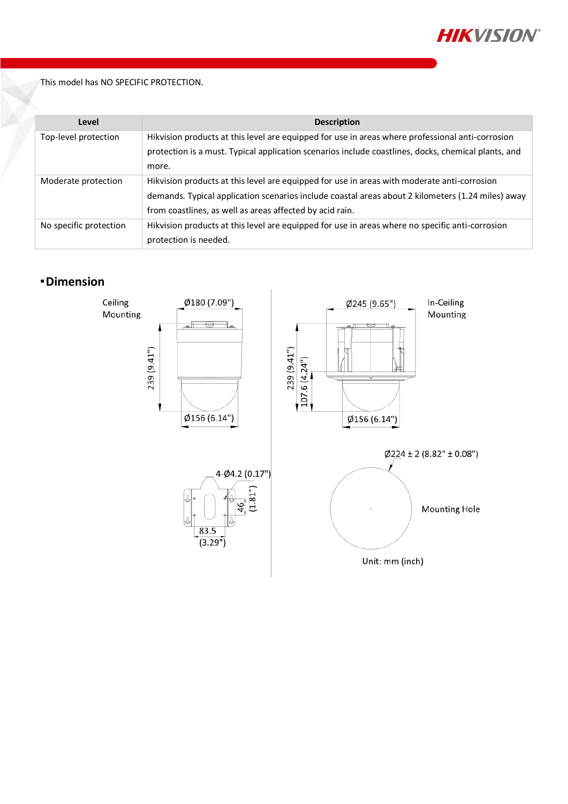

This model has NO SPECIFIC PROTECTION.

| Level                  | <b>Description</b>                                                                                  |
|------------------------|-----------------------------------------------------------------------------------------------------|
| Top-level protection   | Hikvision products at this level are equipped for use in areas where professional anti-corrosion    |
|                        | protection is a must. Typical application scenarios include coastlines, docks, chemical plants, and |
|                        | more.                                                                                               |
| Moderate protection    | Hikvision products at this level are equipped for use in areas with moderate anti-corrosion         |
|                        | demands. Typical application scenarios include coastal areas about 2 kilometers (1.24 miles) away   |
|                        | from coastlines, as well as areas affected by acid rain.                                            |
| No specific protection | Hikvision products at this level are equipped for use in areas where no specific anti-corrosion     |
|                        | protection is needed.                                                                               |

## **Dimension**